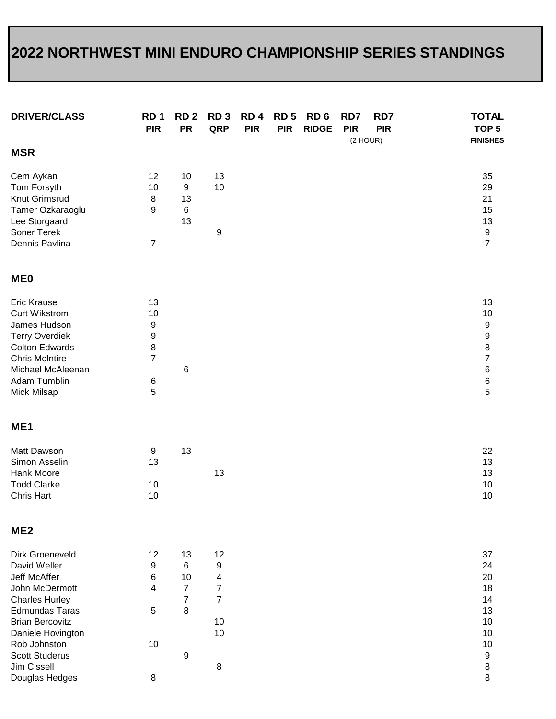## **2022 NORTHWEST MINI ENDURO CHAMPIONSHIP SERIES STANDINGS**

| RD <sub>1</sub><br><b>PIR</b>                       | RD <sub>2</sub><br><b>PR</b>                                | RD <sub>3</sub><br>QRP                                                  | RD <sub>4</sub><br><b>PIR</b> | RD <sub>5</sub><br><b>PIR</b> | RD <sub>6</sub><br><b>RIDGE</b> | RD7<br><b>PIR</b> | RD7<br><b>PIR</b> |          | <b>TOTAL</b><br>TOP <sub>5</sub><br><b>FINISHES</b>                                    |
|-----------------------------------------------------|-------------------------------------------------------------|-------------------------------------------------------------------------|-------------------------------|-------------------------------|---------------------------------|-------------------|-------------------|----------|----------------------------------------------------------------------------------------|
|                                                     |                                                             |                                                                         |                               |                               |                                 |                   |                   |          |                                                                                        |
| 12<br>10<br>$\,8\,$<br>9<br>7                       | 10<br>$\boldsymbol{9}$<br>13<br>6<br>13                     | 13<br>10<br>9                                                           |                               |                               |                                 |                   |                   |          | 35<br>29<br>21<br>15<br>13<br>$\boldsymbol{9}$<br>$\overline{7}$                       |
|                                                     |                                                             |                                                                         |                               |                               |                                 |                   |                   |          |                                                                                        |
| 13<br>10<br>9<br>9<br>8<br>$\overline{7}$<br>6<br>5 | 6                                                           |                                                                         |                               |                               |                                 |                   |                   |          | 13<br>10<br>$\boldsymbol{9}$<br>9<br>8<br>$\overline{7}$<br>6<br>$\,6$<br>5            |
|                                                     |                                                             |                                                                         |                               |                               |                                 |                   |                   |          |                                                                                        |
| 9<br>13<br>10<br>10                                 | 13                                                          | 13                                                                      |                               |                               |                                 |                   |                   |          | 22<br>13<br>13<br>10<br>10                                                             |
|                                                     |                                                             |                                                                         |                               |                               |                                 |                   |                   |          |                                                                                        |
| 12<br>9<br>6<br>4<br>5<br>10                        | 13<br>6<br>10<br>$\overline{7}$<br>$\overline{7}$<br>8<br>9 | 12<br>9<br>4<br>$\overline{7}$<br>$\overline{7}$<br>10<br>10<br>$\bf 8$ |                               |                               |                                 |                   |                   |          | 37<br>24<br>20<br>18<br>14<br>13<br>10<br>10<br>10<br>$\boldsymbol{9}$<br>$\bf 8$<br>8 |
|                                                     | 8                                                           |                                                                         |                               |                               |                                 |                   |                   | (2 HOUR) |                                                                                        |